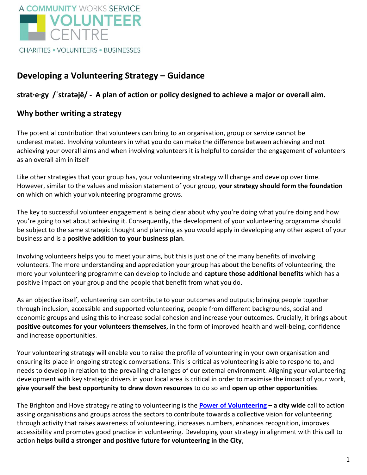

#### **CHARITIES . VOLUNTEERS . BUSINESSES**

## **Developing a Volunteering Strategy – Guidance**

### **strat·e·gy /ˈstratəjē/ - A plan of action or policy designed to achieve a major or overall aim.**

### **Why bother writing a strategy**

The potential contribution that volunteers can bring to an organisation, group or service cannot be underestimated. Involving volunteers in what you do can make the difference between achieving and not achieving your overall aims and when involving volunteers it is helpful to consider the engagement of volunteers as an overall aim in itself

Like other strategies that your group has, your volunteering strategy will change and develop over time. However, similar to the values and mission statement of your group, **your strategy should form the foundation**  on which on which your volunteering programme grows.

The key to successful volunteer engagement is being clear about why you're doing what you're doing and how you're going to set about achieving it. Consequently, the development of your volunteering programme should be subject to the same strategic thought and planning as you would apply in developing any other aspect of your business and is a **positive addition to your business plan**.

Involving volunteers helps you to meet your aims, but this is just one of the many benefits of involving volunteers. The more understanding and appreciation your group has about the benefits of volunteering, the more your volunteering programme can develop to include and **capture those additional benefits** which has a positive impact on your group and the people that benefit from what you do.

As an objective itself, volunteering can contribute to your outcomes and outputs; bringing people together through inclusion, accessible and supported volunteering, people from different backgrounds, social and economic groups and using this to increase social cohesion and increase your outcomes. Crucially, it brings about **positive outcomes for your volunteers themselves**, in the form of improved health and well-being, confidence and increase opportunities.

Your volunteering strategy will enable you to raise the profile of volunteering in your own organisation and ensuring its place in ongoing strategic conversations. This is critical as volunteering is able to respond to, and needs to develop in relation to the prevailing challenges of our external environment. Aligning your volunteering development with key strategic drivers in your local area is critical in order to maximise the impact of your work, **give yourself the best opportunity to draw down resources** to do so and **open up other opportunities**.

The Brighton and Hove strategy relating to volunteering is the **[Power of Volunteering](http://www.bhcommunityworks.org.uk/wp-content/uploads/2016/04/The-Power-of-Volunteering-A-vision-for-Brighton-and-Hove.pdf) – a city wide** call to action asking organisations and groups across the sectors to contribute towards a collective vision for volunteering through activity that raises awareness of volunteering, increases numbers, enhances recognition, improves accessibility and promotes good practice in volunteering. Developing your strategy in alignment with this call to action **helps build a stronger and positive future for volunteering in the City**,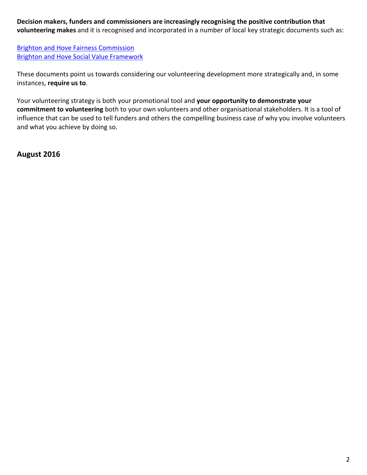**Decision makers, funders and commissioners are increasingly recognising the positive contribution that volunteering makes** and it is recognised and incorporated in a number of local key strategic documents such as:

**[Brighton and Hove Fairness Commission](http://www.brighton-hove.gov.uk/sites/brighton-hove.gov.uk/files/Headline%20report%20-%20Fairness%20Commission.pdf)** [Brighton and Hove Social](http://present.brighton-hove.gov.uk/Published/C00000912/M00006397/AI00051935/$20160713113212_009343_0038669_BrightonandHoveSocialValueFramework.docx.pdf) Value Framework

These documents point us towards considering our volunteering development more strategically and, in some instances, **require us to**.

Your volunteering strategy is both your promotional tool and **your opportunity to demonstrate your commitment to volunteering** both to your own volunteers and other organisational stakeholders. It is a tool of influence that can be used to tell funders and others the compelling business case of why you involve volunteers and what you achieve by doing so.

**August 2016**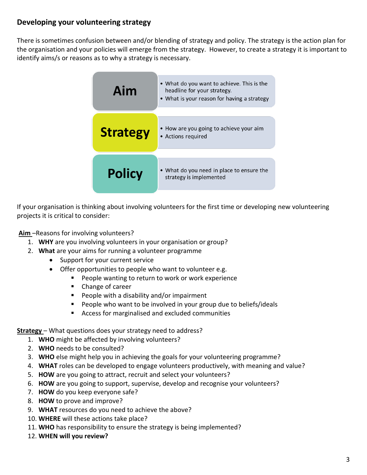### **Developing your volunteering strategy**

There is sometimes confusion between and/or blending of strategy and policy. The strategy is the action plan for the organisation and your policies will emerge from the strategy. However, to create a strategy it is important to identify aims/s or reasons as to why a strategy is necessary.



If your organisation is thinking about involving volunteers for the first time or developing new volunteering projects it is critical to consider:

**Aim** –Reasons for involving volunteers?

- 1. **WHY** are you involving volunteers in your organisation or group?
- 2. **What** are your aims for running a volunteer programme
	- Support for your current service
	- Offer opportunities to people who want to volunteer e.g.
		- **People wanting to return to work or work experience**
		- Change of career
		- $\blacksquare$  People with a disability and/or impairment
		- People who want to be involved in your group due to beliefs/ideals
		- Access for marginalised and excluded communities

**Strategy** – What questions does your strategy need to address?

- 1. **WHO** might be affected by involving volunteers?
- 2. **WHO** needs to be consulted?
- 3. **WHO** else might help you in achieving the goals for your volunteering programme?
- 4. **WHAT** roles can be developed to engage volunteers productively, with meaning and value?
- 5. **HOW** are you going to attract, recruit and select your volunteers?
- 6. **HOW** are you going to support, supervise, develop and recognise your volunteers?
- 7. **HOW** do you keep everyone safe?
- 8. **HOW** to prove and improve?
- 9. **WHAT** resources do you need to achieve the above?
- 10. **WHERE** will these actions take place?
- 11. **WHO** has responsibility to ensure the strategy is being implemented?
- 12. **WHEN will you review?**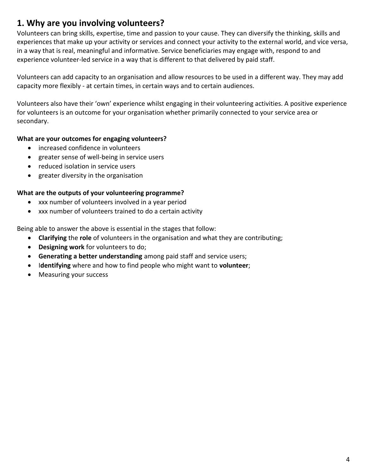# **1. Why are you involving volunteers?**

Volunteers can bring skills, expertise, time and passion to your cause. They can diversify the thinking, skills and experiences that make up your activity or services and connect your activity to the external world, and vice versa, in a way that is real, meaningful and informative. Service beneficiaries may engage with, respond to and experience volunteer-led service in a way that is different to that delivered by paid staff.

Volunteers can add capacity to an organisation and allow resources to be used in a different way. They may add capacity more flexibly - at certain times, in certain ways and to certain audiences.

Volunteers also have their 'own' experience whilst engaging in their volunteering activities. A positive experience for volunteers is an outcome for your organisation whether primarily connected to your service area or secondary.

#### **What are your outcomes for engaging volunteers?**

- increased confidence in volunteers
- greater sense of well-being in service users
- reduced isolation in service users
- greater diversity in the organisation

#### **What are the outputs of your volunteering programme?**

- xxx number of volunteers involved in a year period
- xxx number of volunteers trained to do a certain activity

Being able to answer the above is essential in the stages that follow:

- **Clarifying** the **role** of volunteers in the organisation and what they are contributing;
- **Designing work** for volunteers to do;
- **Generating a better understanding** among paid staff and service users;
- I**dentifying** where and how to find people who might want to **volunteer**;
- Measuring your success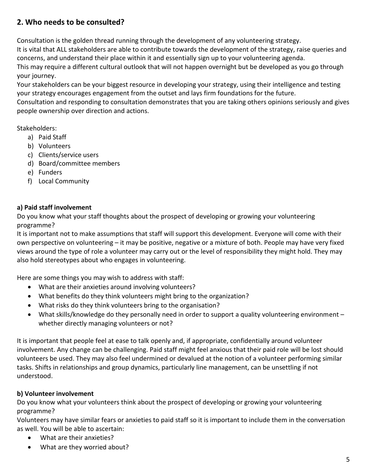### **2. Who needs to be consulted?**

Consultation is the golden thread running through the development of any volunteering strategy.

It is vital that ALL stakeholders are able to contribute towards the development of the strategy, raise queries and concerns, and understand their place within it and essentially sign up to your volunteering agenda.

This may require a different cultural outlook that will not happen overnight but be developed as you go through your journey.

Your stakeholders can be your biggest resource in developing your strategy, using their intelligence and testing your strategy encourages engagement from the outset and lays firm foundations for the future.

Consultation and responding to consultation demonstrates that you are taking others opinions seriously and gives people ownership over direction and actions.

### Stakeholders:

- a) Paid Staff
- b) Volunteers
- c) Clients/service users
- d) Board/committee members
- e) Funders
- f) Local Community

### **a) Paid staff involvement**

Do you know what your staff thoughts about the prospect of developing or growing your volunteering programme?

It is important not to make assumptions that staff will support this development. Everyone will come with their own perspective on volunteering – it may be positive, negative or a mixture of both. People may have very fixed views around the type of role a volunteer may carry out or the level of responsibility they might hold. They may also hold stereotypes about who engages in volunteering.

Here are some things you may wish to address with staff:

- What are their anxieties around involving volunteers?
- What benefits do they think volunteers might bring to the organization?
- What risks do they think volunteers bring to the organisation?
- What skills/knowledge do they personally need in order to support a quality volunteering environment whether directly managing volunteers or not?

It is important that people feel at ease to talk openly and, if appropriate, confidentially around volunteer involvement. Any change can be challenging. Paid staff might feel anxious that their paid role will be lost should volunteers be used. They may also feel undermined or devalued at the notion of a volunteer performing similar tasks. Shifts in relationships and group dynamics, particularly line management, can be unsettling if not understood.

### **b) Volunteer involvement**

Do you know what your volunteers think about the prospect of developing or growing your volunteering programme?

Volunteers may have similar fears or anxieties to paid staff so it is important to include them in the conversation as well. You will be able to ascertain:

- What are their anxieties?
- What are they worried about?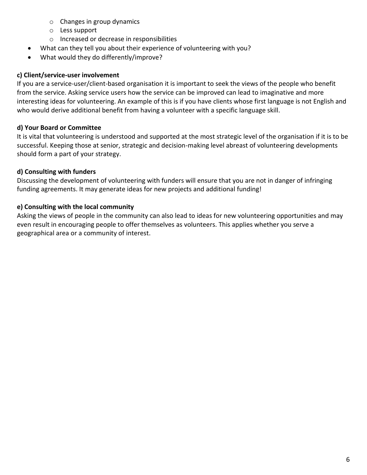- o Changes in group dynamics
- o Less support
- o Increased or decrease in responsibilities
- What can they tell you about their experience of volunteering with you?
- What would they do differently/improve?

#### **c) Client/service-user involvement**

If you are a service-user/client-based organisation it is important to seek the views of the people who benefit from the service. Asking service users how the service can be improved can lead to imaginative and more interesting ideas for volunteering. An example of this is if you have clients whose first language is not English and who would derive additional benefit from having a volunteer with a specific language skill.

### **d) Your Board or Committee**

It is vital that volunteering is understood and supported at the most strategic level of the organisation if it is to be successful. Keeping those at senior, strategic and decision-making level abreast of volunteering developments should form a part of your strategy.

### **d) Consulting with funders**

Discussing the development of volunteering with funders will ensure that you are not in danger of infringing funding agreements. It may generate ideas for new projects and additional funding!

### **e) Consulting with the local community**

Asking the views of people in the community can also lead to ideas for new volunteering opportunities and may even result in encouraging people to offer themselves as volunteers. This applies whether you serve a geographical area or a community of interest.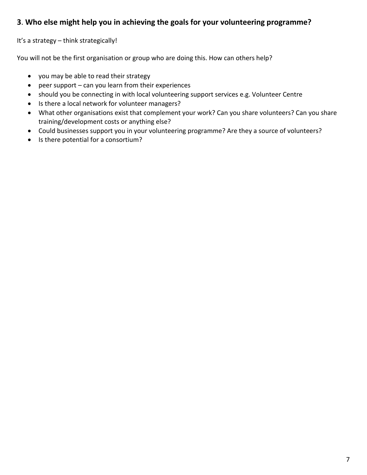### **3**. **Who else might help you in achieving the goals for your volunteering programme?**

It's a strategy – think strategically!

You will not be the first organisation or group who are doing this. How can others help?

- you may be able to read their strategy
- $\bullet$  peer support can you learn from their experiences
- should you be connecting in with local volunteering support services e.g. Volunteer Centre
- Is there a local network for volunteer managers?
- What other organisations exist that complement your work? Can you share volunteers? Can you share training/development costs or anything else?
- Could businesses support you in your volunteering programme? Are they a source of volunteers?
- Is there potential for a consortium?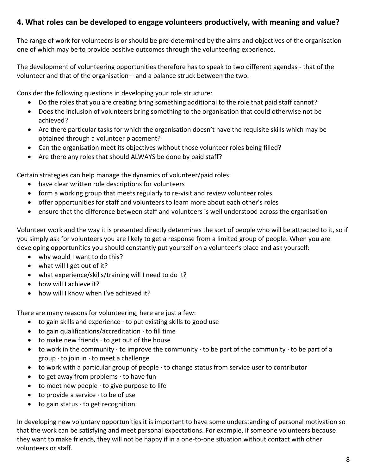### **4. What roles can be developed to engage volunteers productively, with meaning and value?**

The range of work for volunteers is or should be pre-determined by the aims and objectives of the organisation one of which may be to provide positive outcomes through the volunteering experience.

The development of volunteering opportunities therefore has to speak to two different agendas - that of the volunteer and that of the organisation – and a balance struck between the two.

Consider the following questions in developing your role structure:

- Do the roles that you are creating bring something additional to the role that paid staff cannot?
- Does the inclusion of volunteers bring something to the organisation that could otherwise not be achieved?
- Are there particular tasks for which the organisation doesn't have the requisite skills which may be obtained through a volunteer placement?
- Can the organisation meet its objectives without those volunteer roles being filled?
- Are there any roles that should ALWAYS be done by paid staff?

Certain strategies can help manage the dynamics of volunteer/paid roles:

- have clear written role descriptions for volunteers
- form a working group that meets regularly to re-visit and review volunteer roles
- offer opportunities for staff and volunteers to learn more about each other's roles
- ensure that the difference between staff and volunteers is well understood across the organisation

Volunteer work and the way it is presented directly determines the sort of people who will be attracted to it, so if you simply ask for volunteers you are likely to get a response from a limited group of people. When you are developing opportunities you should constantly put yourself on a volunteer's place and ask yourself:

- why would I want to do this?
- what will I get out of it?
- what experience/skills/training will I need to do it?
- how will I achieve it?
- how will I know when I've achieved it?

There are many reasons for volunteering, here are just a few:

- $\bullet$  to gain skills and experience  $\cdot$  to put existing skills to good use
- $\bullet$  to gain qualifications/accreditation  $\cdot$  to fill time
- $\bullet$  to make new friends  $\cdot$  to get out of the house
- to work in the community  $\cdot$  to improve the community  $\cdot$  to be part of the community  $\cdot$  to be part of a group  $\cdot$  to join in  $\cdot$  to meet a challenge
- $\bullet$  to work with a particular group of people  $\cdot$  to change status from service user to contributor
- $\bullet$  to get away from problems  $\cdot$  to have fun
- $\bullet$  to meet new people  $\cdot$  to give purpose to life
- $\bullet$  to provide a service  $\cdot$  to be of use
- $\bullet$  to gain status  $\cdot$  to get recognition

In developing new voluntary opportunities it is important to have some understanding of personal motivation so that the work can be satisfying and meet personal expectations. For example, if someone volunteers because they want to make friends, they will not be happy if in a one-to-one situation without contact with other volunteers or staff.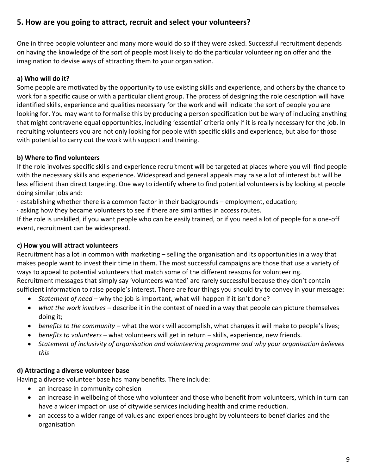### **5. How are you going to attract, recruit and select your volunteers?**

One in three people volunteer and many more would do so if they were asked. Successful recruitment depends on having the knowledge of the sort of people most likely to do the particular volunteering on offer and the imagination to devise ways of attracting them to your organisation.

### **a) Who will do it?**

Some people are motivated by the opportunity to use existing skills and experience, and others by the chance to work for a specific cause or with a particular client group. The process of designing the role description will have identified skills, experience and qualities necessary for the work and will indicate the sort of people you are looking for. You may want to formalise this by producing a person specification but be wary of including anything that might contravene equal opportunities, including 'essential' criteria only if it is really necessary for the job. In recruiting volunteers you are not only looking for people with specific skills and experience, but also for those with potential to carry out the work with support and training.

### **b) Where to find volunteers**

If the role involves specific skills and experience recruitment will be targeted at places where you will find people with the necessary skills and experience. Widespread and general appeals may raise a lot of interest but will be less efficient than direct targeting. One way to identify where to find potential volunteers is by looking at people doing similar jobs and:

· establishing whether there is a common factor in their backgrounds – employment, education;

· asking how they became volunteers to see if there are similarities in access routes.

If the role is unskilled, if you want people who can be easily trained, or if you need a lot of people for a one-off event, recruitment can be widespread.

### **c) How you will attract volunteers**

Recruitment has a lot in common with marketing – selling the organisation and its opportunities in a way that makes people want to invest their time in them. The most successful campaigns are those that use a variety of ways to appeal to potential volunteers that match some of the different reasons for volunteering. Recruitment messages that simply say 'volunteers wanted' are rarely successful because they don't contain sufficient information to raise people's interest. There are four things you should try to convey in your message:

- *Statement of need*  why the job is important, what will happen if it isn't done?
- *what the work involves*  describe it in the context of need in a way that people can picture themselves doing it;
- *benefits to the community*  what the work will accomplish, what changes it will make to people's lives;
- *benefits to volunteers*  what volunteers will get in return skills, experience, new friends.
- *Statement of inclusivity of organisation and volunteering programme and why your organisation believes this*

### **d) Attracting a diverse volunteer base**

Having a diverse volunteer base has many benefits. There include:

- an increase in community cohesion
- an increase in wellbeing of those who volunteer and those who benefit from volunteers, which in turn can have a wider impact on use of citywide services including health and crime reduction.
- an access to a wider range of values and experiences brought by volunteers to beneficiaries and the organisation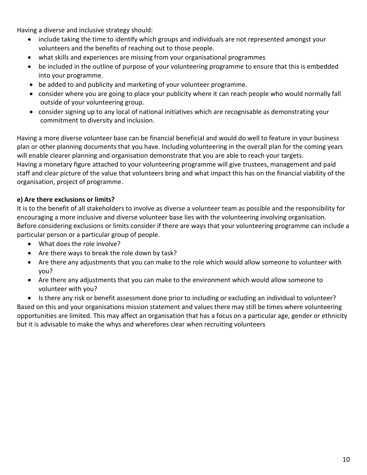Having a diverse and inclusive strategy should:

- include taking the time to identify which groups and individuals are not represented amongst your volunteers and the benefits of reaching out to those people.
- what skills and experiences are missing from your organisational programmes
- be included in the outline of purpose of your volunteering programme to ensure that this is embedded into your programme.
- be added to and publicity and marketing of your volunteer programme.
- consider where you are going to place your publicity where it can reach people who would normally fall outside of your volunteering group.
- consider signing up to any local of national initiatives which are recognisable as demonstrating your commitment to diversity and inclusion.

Having a more diverse volunteer base can be financial beneficial and would do well to feature in your business plan or other planning documents that you have. Including volunteering in the overall plan for the coming years will enable clearer planning and organisation demonstrate that you are able to reach your targets. Having a monetary figure attached to your volunteering programme will give trustees, management and paid staff and clear picture of the value that volunteers bring and what impact this has on the financial viability of the organisation, project of programme.

### **e) Are there exclusions or limits?**

It is to the benefit of all stakeholders to involve as diverse a volunteer team as possible and the responsibility for encouraging a more inclusive and diverse volunteer base lies with the volunteering involving organisation. Before considering exclusions or limits consider if there are ways that your volunteering programme can include a particular person or a particular group of people.

- What does the role involve?
- Are there ways to break the role down by task?
- Are there any adjustments that you can make to the role which would allow someone to volunteer with you?
- Are there any adjustments that you can make to the environment which would allow someone to volunteer with you?

• Is there any risk or benefit assessment done prior to including or excluding an individual to volunteer? Based on this and your organisations mission statement and values there may still be times where volunteering opportunities are limited. This may affect an organisation that has a focus on a particular age, gender or ethnicity but it is advisable to make the whys and wherefores clear when recruiting volunteers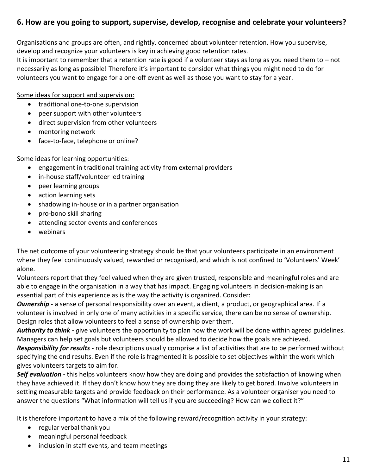### **6. How are you going to support, supervise, develop, recognise and celebrate your volunteers?**

Organisations and groups are often, and rightly, concerned about volunteer retention. How you supervise, develop and recognize your volunteers is key in achieving good retention rates.

It is important to remember that a retention rate is good if a volunteer stays as long as you need them to – not necessarily as long as possible! Therefore it's important to consider what things you might need to do for volunteers you want to engage for a one-off event as well as those you want to stay for a year.

Some ideas for support and supervision:

- traditional one-to-one supervision
- peer support with other volunteers
- direct supervision from other volunteers
- mentoring network
- face-to-face, telephone or online?

Some ideas for learning opportunities:

- engagement in traditional training activity from external providers
- in-house staff/volunteer led training
- peer learning groups
- action learning sets
- shadowing in-house or in a partner organisation
- pro-bono skill sharing
- attending sector events and conferences
- webinars

The net outcome of your volunteering strategy should be that your volunteers participate in an environment where they feel continuously valued, rewarded or recognised, and which is not confined to 'Volunteers' Week' alone.

Volunteers report that they feel valued when they are given trusted, responsible and meaningful roles and are able to engage in the organisation in a way that has impact. Engaging volunteers in decision-making is an essential part of this experience as is the way the activity is organized. Consider:

*Ownership* - a sense of personal responsibility over an event, a client, a product, or geographical area. If a volunteer is involved in only one of many activities in a specific service, there can be no sense of ownership. Design roles that allow volunteers to feel a sense of ownership over them.

*Authority to think - g*ive volunteers the opportunity to plan how the work will be done within agreed guidelines. Managers can help set goals but volunteers should be allowed to decide how the goals are achieved.

*Responsibility for results -* role descriptions usually comprise a list of activities that are to be performed without specifying the end results. Even if the role is fragmented it is possible to set objectives within the work which gives volunteers targets to aim for.

*Self evaluation -* this helps volunteers know how they are doing and provides the satisfaction of knowing when they have achieved it. If they don't know how they are doing they are likely to get bored. Involve volunteers in setting measurable targets and provide feedback on their performance. As a volunteer organiser you need to answer the questions "What information will tell us if you are succeeding? How can we collect it?"

It is therefore important to have a mix of the following reward/recognition activity in your strategy:

- regular verbal thank you
- meaningful personal feedback
- inclusion in staff events, and team meetings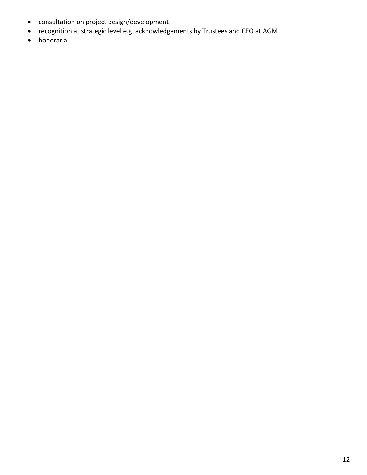- consultation on project design/development
- recognition at strategic level e.g. acknowledgements by Trustees and CEO at AGM
- honoraria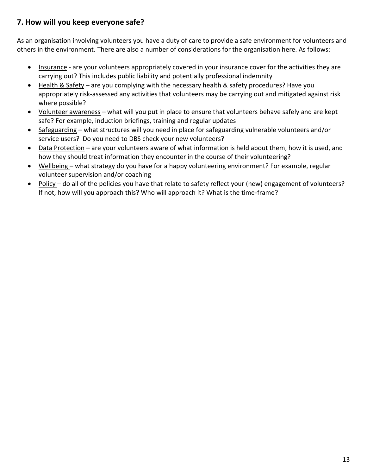### **7. How will you keep everyone safe?**

As an organisation involving volunteers you have a duty of care to provide a safe environment for volunteers and others in the environment. There are also a number of considerations for the organisation here. As follows:

- Insurance are your volunteers appropriately covered in your insurance cover for the activities they are carrying out? This includes public liability and potentially professional indemnity
- Health & Safety are you complying with the necessary health & safety procedures? Have you appropriately risk-assessed any activities that volunteers may be carrying out and mitigated against risk where possible?
- Volunteer awareness what will you put in place to ensure that volunteers behave safely and are kept safe? For example, induction briefings, training and regular updates
- Safeguarding what structures will you need in place for safeguarding vulnerable volunteers and/or service users? Do you need to DBS check your new volunteers?
- Data Protection are your volunteers aware of what information is held about them, how it is used, and how they should treat information they encounter in the course of their volunteering?
- Wellbeing what strategy do you have for a happy volunteering environment? For example, regular volunteer supervision and/or coaching
- Policy do all of the policies you have that relate to safety reflect your (new) engagement of volunteers? If not, how will you approach this? Who will approach it? What is the time-frame?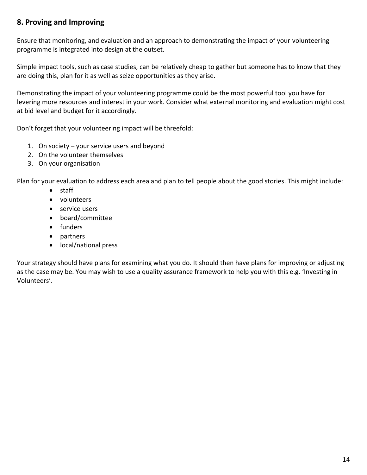### **8. Proving and Improving**

Ensure that monitoring, and evaluation and an approach to demonstrating the impact of your volunteering programme is integrated into design at the outset.

Simple impact tools, such as case studies, can be relatively cheap to gather but someone has to know that they are doing this, plan for it as well as seize opportunities as they arise.

Demonstrating the impact of your volunteering programme could be the most powerful tool you have for levering more resources and interest in your work. Consider what external monitoring and evaluation might cost at bid level and budget for it accordingly.

Don't forget that your volunteering impact will be threefold:

- 1. On society your service users and beyond
- 2. On the volunteer themselves
- 3. On your organisation

Plan for your evaluation to address each area and plan to tell people about the good stories. This might include:

- staff
- volunteers
- service users
- board/committee
- funders
- partners
- local/national press

Your strategy should have plans for examining what you do. It should then have plans for improving or adjusting as the case may be. You may wish to use a quality assurance framework to help you with this e.g. 'Investing in Volunteers'.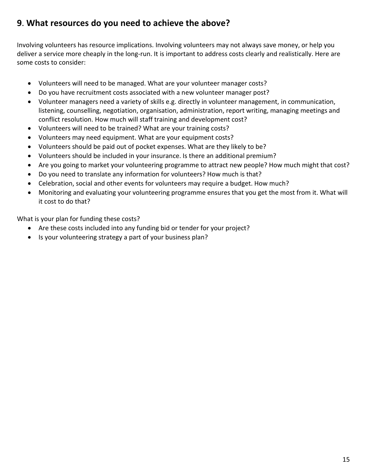# **9**. **What resources do you need to achieve the above?**

Involving volunteers has resource implications. Involving volunteers may not always save money, or help you deliver a service more cheaply in the long-run. It is important to address costs clearly and realistically. Here are some costs to consider:

- Volunteers will need to be managed. What are your volunteer manager costs?
- Do you have recruitment costs associated with a new volunteer manager post?
- Volunteer managers need a variety of skills e.g. directly in volunteer management, in communication, listening, counselling, negotiation, organisation, administration, report writing, managing meetings and conflict resolution. How much will staff training and development cost?
- Volunteers will need to be trained? What are your training costs?
- Volunteers may need equipment. What are your equipment costs?
- Volunteers should be paid out of pocket expenses. What are they likely to be?
- Volunteers should be included in your insurance. Is there an additional premium?
- Are you going to market your volunteering programme to attract new people? How much might that cost?
- Do you need to translate any information for volunteers? How much is that?
- Celebration, social and other events for volunteers may require a budget. How much?
- Monitoring and evaluating your volunteering programme ensures that you get the most from it. What will it cost to do that?

What is your plan for funding these costs?

- Are these costs included into any funding bid or tender for your project?
- Is your volunteering strategy a part of your business plan?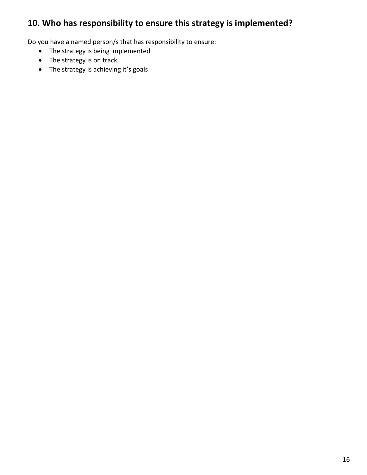# **10. Who has responsibility to ensure this strategy is implemented?**

Do you have a named person/s that has responsibility to ensure:

- The strategy is being implemented
- The strategy is on track
- The strategy is achieving it's goals